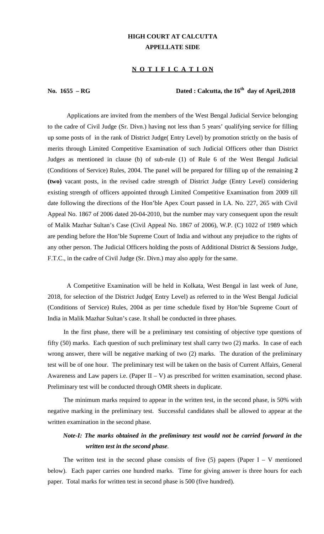### **HIGH COURT AT CALCUTTA APPELLATE SIDE**

#### **N O T I F I C A T I O N**

### No.  $1655 - RG$  **Dated : Calcutta, the**  $16^{th}$  **day of April,**  $2018$

Applications are invited from the members of the West Bengal Judicial Service belonging to the cadre of Civil Judge (Sr. Divn.) having not less than 5 years' qualifying service for filling up some posts of in the rank of District Judge( Entry Level) by promotion strictly on the basis of merits through Limited Competitive Examination of such Judicial Officers other than District Judges as mentioned in clause (b) of sub-rule (1) of Rule 6 of the West Bengal Judicial (Conditions of Service) Rules, 2004. The panel will be prepared for filling up of the remaining **2 (two)** vacant posts, in the revised cadre strength of District Judge (Entry Level) considering existing strength of officers appointed through Limited Competitive Examination from 2009 till date following the directions of the Hon'ble Apex Court passed in I.A. No. 227, 265 with Civil Appeal No. 1867 of 2006 dated 20-04-2010, but the number may vary consequent upon the result of Malik Mazhar Sultan's Case (Civil Appeal No. 1867 of 2006), W.P. (C) 1022 of 1989 which are pending before the Hon'ble Supreme Court of India and without any prejudice to the rights of any other person. The Judicial Officers holding the posts of Additional District & Sessions Judge, F.T.C., in the cadre of Civil Judge (Sr. Divn.) may also apply for the same.

A Competitive Examination will be held in Kolkata, West Bengal in last week of June, 2018, for selection of the District Judge( Entry Level) as referred to in the West Bengal Judicial (Conditions of Service) Rules, 2004 as per time schedule fixed by Hon'ble Supreme Court of India in Malik Mazhar Sultan's case. It shall be conducted in three phases.

In the first phase, there will be a preliminary test consisting of objective type questions of fifty (50) marks. Each question of such preliminary test shall carry two (2) marks. In case of each wrong answer, there will be negative marking of two (2) marks. The duration of the preliminary test will be of one hour. The preliminary test will be taken on the basis of Current Affairs, General Awareness and Law papers i.e. (Paper  $II - V$ ) as prescribed for written examination, second phase. Preliminary test will be conducted through OMR sheets in duplicate.

The minimum marks required to appear in the written test, in the second phase, is 50% with negative marking in the preliminary test. Successful candidates shall be allowed to appear at the written examination in the second phase.

## *Note-I: The marks obtained in the preliminary test would not be carried forward in the written test in the second phase.*

The written test in the second phase consists of five  $(5)$  papers (Paper I – V mentioned below). Each paper carries one hundred marks. Time for giving answer is three hours for each paper. Total marks for written test in second phase is 500 (five hundred).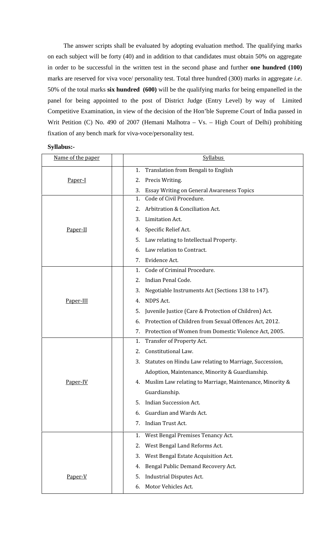The answer scripts shall be evaluated by adopting evaluation method. The qualifying marks on each subject will be forty (40) and in addition to that candidates must obtain 50% on aggregate in order to be successful in the written test in the second phase and further **one hundred (100)** marks are reserved for viva voce/ personality test. Total three hundred (300) marks in aggregate *i.e*. 50% of the total marks **six hundred (600)** will be the qualifying marks for being empanelled in the panel for being appointed to the post of District Judge (Entry Level) by way of Limited Competitive Examination, in view of the decision of the Hon'ble Supreme Court of India passed in Writ Petition (C) No. 490 of 2007 (Hemani Malhotra – Vs. – High Court of Delhi) prohibiting fixation of any bench mark for viva-voce/personality test.

| Syllabus:- |  |
|------------|--|
|------------|--|

| Name of the paper | <b>Syllabus</b>                                                |
|-------------------|----------------------------------------------------------------|
| Paper-I           | Translation from Bengali to English<br>1.                      |
|                   | Precis Writing.<br>2.                                          |
|                   | <b>Essay Writing on General Awareness Topics</b><br>3.         |
| Paper-II          | Code of Civil Procedure.<br>1.                                 |
|                   | Arbitration & Conciliation Act.<br>2.                          |
|                   | Limitation Act.<br>3.                                          |
|                   | Specific Relief Act.<br>4.                                     |
|                   | Law relating to Intellectual Property.<br>5.                   |
|                   | Law relation to Contract.<br>6.                                |
|                   | Evidence Act.<br>7.                                            |
|                   | Code of Criminal Procedure.<br>1.                              |
|                   | Indian Penal Code.<br>2.                                       |
|                   | Negotiable Instruments Act (Sections 138 to 147).<br>3.        |
| Paper-III         | <b>NDPS Act.</b><br>4.                                         |
|                   | Juvenile Justice (Care & Protection of Children) Act.<br>5.    |
|                   | Protection of Children from Sexual Offences Act, 2012.<br>6.   |
|                   | Protection of Women from Domestic Violence Act, 2005.<br>7.    |
|                   | Transfer of Property Act.<br>1.                                |
|                   | Constitutional Law.<br>2.                                      |
|                   | Statutes on Hindu Law relating to Marriage, Succession,<br>3.  |
|                   | Adoption, Maintenance, Minority & Guardianship.                |
| Paper-IV          | Muslim Law relating to Marriage, Maintenance, Minority &<br>4. |
|                   | Guardianship.                                                  |
|                   | <b>Indian Succession Act.</b><br>5.                            |
|                   | Guardian and Wards Act.<br>6.                                  |
|                   | Indian Trust Act.<br>7.                                        |
|                   | West Bengal Premises Tenancy Act.<br>1.                        |
|                   | West Bengal Land Reforms Act.<br>2.                            |
|                   | 3.<br>West Bengal Estate Acquisition Act.                      |
| Paper-V           | Bengal Public Demand Recovery Act.<br>4.                       |
|                   | <b>Industrial Disputes Act.</b><br>5.                          |
|                   | Motor Vehicles Act.<br>6.                                      |
|                   |                                                                |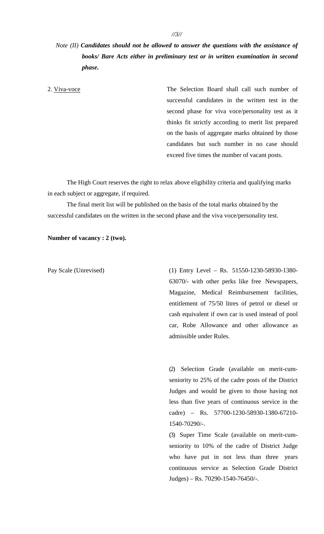# *Note (II) Candidates should not be allowed to answer the questions with the assistance of books/ Bare Acts either in preliminary test or in written examination in second phase***.**

2. Viva-voce The Selection Board shall call such number of successful candidates in the written test in the second phase for viva voce/personality test as it thinks fit strictly according to merit list prepared on the basis of aggregate marks obtained by those candidates but such number in no case should exceed five times the number of vacant posts.

The High Court reserves the right to relax above eligibility criteria and qualifying marks in each subject or aggregate, if required.

The final merit list will be published on the basis of the total marks obtained by the successful candidates on the written in the second phase and the viva voce/personality test.

**Number of vacancy : 2 (two).**

Pay Scale (Unrevised) (1) Entry Level – Rs. 51550-1230-58930-1380- 63070/- with other perks like free Newspapers, Magazine, Medical Reimbursement facilities, entitlement of 75/50 litres of petrol or diesel or cash equivalent if own car is used instead of pool car, Robe Allowance and other allowance as admissible under Rules.

> (2) Selection Grade (available on merit-cum seniority to 25% of the cadre posts of the District Judges and would be given to those having not less than five years of continuous service in the cadre) – Rs. 57700-1230-58930-1380-67210- 1540-70290/-.

> (3) Super Time Scale (available on merit-cum seniority to 10% of the cadre of District Judge who have put in not less than three years continuous service as Selection Grade District Judges) – Rs. 70290-1540-76450/-.